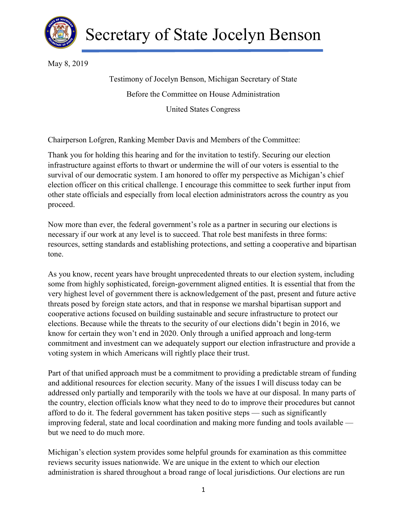

May 8, 2019

 Testimony of Jocelyn Benson, Michigan Secretary of State Before the Committee on House Administration United States Congress

Chairperson Lofgren, Ranking Member Davis and Members of the Committee:

 Thank you for holding this hearing and for the invitation to testify. Securing our election infrastructure against efforts to thwart or undermine the will of our voters is essential to the survival of our democratic system. I am honored to offer my perspective as Michigan's chief election officer on this critical challenge. I encourage this committee to seek further input from other state officials and especially from local election administrators across the country as you proceed.

 Now more than ever, the federal government's role as a partner in securing our elections is necessary if our work at any level is to succeed. That role best manifests in three forms: resources, setting standards and establishing protections, and setting a cooperative and bipartisan tone.

 As you know, recent years have brought unprecedented threats to our election system, including some from highly sophisticated, foreign-government aligned entities. It is essential that from the very highest level of government there is acknowledgement of the past, present and future active threats posed by foreign state actors, and that in response we marshal bipartisan support and cooperative actions focused on building sustainable and secure infrastructure to protect our elections. Because while the threats to the security of our elections didn't begin in 2016, we know for certain they won't end in 2020. Only through a unified approach and long-term commitment and investment can we adequately support our election infrastructure and provide a voting system in which Americans will rightly place their trust.

 Part of that unified approach must be a commitment to providing a predictable stream of funding and additional resources for election security. Many of the issues I will discuss today can be addressed only partially and temporarily with the tools we have at our disposal. In many parts of the country, election officials know what they need to do to improve their procedures but cannot afford to do it. The federal government has taken positive steps — such as significantly improving federal, state and local coordination and making more funding and tools available — but we need to do much more.

 Michigan's election system provides some helpful grounds for examination as this committee reviews security issues nationwide. We are unique in the extent to which our election administration is shared throughout a broad range of local jurisdictions. Our elections are run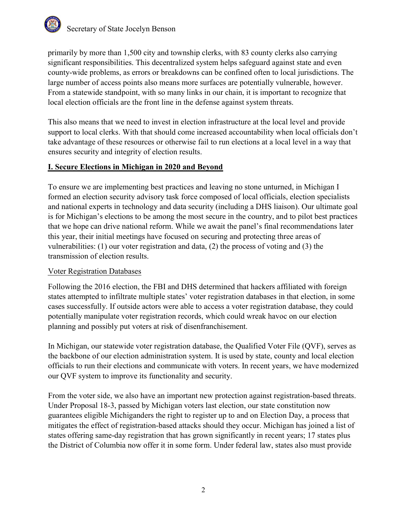

 primarily by more than 1,500 city and township clerks, with 83 county clerks also carrying significant responsibilities. This decentralized system helps safeguard against state and even county-wide problems, as errors or breakdowns can be confined often to local jurisdictions. The large number of access points also means more surfaces are potentially vulnerable, however. From a statewide standpoint, with so many links in our chain, it is important to recognize that local election officials are the front line in the defense against system threats.

 This also means that we need to invest in election infrastructure at the local level and provide support to local clerks. With that should come increased accountability when local officials don't take advantage of these resources or otherwise fail to run elections at a local level in a way that ensures security and integrity of election results.

### I. Secure Elections in Michigan in 2020 and Beyond

 To ensure we are implementing best practices and leaving no stone unturned, in Michigan I formed an election security advisory task force composed of local officials, election specialists and national experts in technology and data security (including a DHS liaison). Our ultimate goal is for Michigan's elections to be among the most secure in the country, and to pilot best practices that we hope can drive national reform. While we await the panel's final recommendations later this year, their initial meetings have focused on securing and protecting three areas of vulnerabilities: (1) our voter registration and data, (2) the process of voting and (3) the transmission of election results.

### Voter Registration Databases

 Following the 2016 election, the FBI and DHS determined that hackers affiliated with foreign states attempted to infiltrate multiple states' voter registration databases in that election, in some cases successfully. If outside actors were able to access a voter registration database, they could potentially manipulate voter registration records, which could wreak havoc on our election planning and possibly put voters at risk of disenfranchisement.

 In Michigan, our statewide voter registration database, the Qualified Voter File (QVF), serves as the backbone of our election administration system. It is used by state, county and local election officials to run their elections and communicate with voters. In recent years, we have modernized our QVF system to improve its functionality and security.

 From the voter side, we also have an important new protection against registration-based threats. Under Proposal 18-3, passed by Michigan voters last election, our state constitution now guarantees eligible Michiganders the right to register up to and on Election Day, a process that mitigates the effect of registration-based attacks should they occur. Michigan has joined a list of states offering same-day registration that has grown significantly in recent years; 17 states plus the District of Columbia now offer it in some form. Under federal law, states also must provide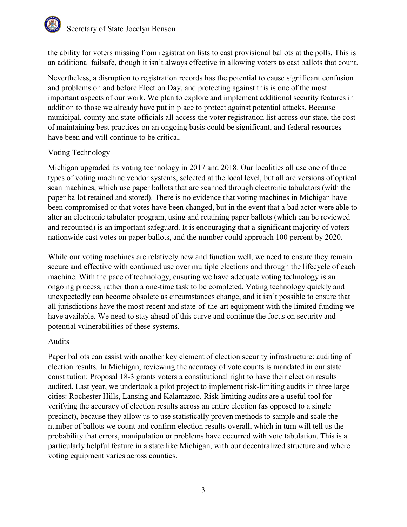# Secretary of State Jocelyn Benson

 the ability for voters missing from registration lists to cast provisional ballots at the polls. This is an additional failsafe, though it isn't always effective in allowing voters to cast ballots that count.

 Nevertheless, a disruption to registration records has the potential to cause significant confusion and problems on and before Election Day, and protecting against this is one of the most important aspects of our work. We plan to explore and implement additional security features in addition to those we already have put in place to protect against potential attacks. Because municipal, county and state officials all access the voter registration list across our state, the cost of maintaining best practices on an ongoing basis could be significant, and federal resources have been and will continue to be critical.

# Voting Technology

 Michigan upgraded its voting technology in 2017 and 2018. Our localities all use one of three types of voting machine vendor systems, selected at the local level, but all are versions of optical scan machines, which use paper ballots that are scanned through electronic tabulators (with the paper ballot retained and stored). There is no evidence that voting machines in Michigan have been compromised or that votes have been changed, but in the event that a bad actor were able to alter an electronic tabulator program, using and retaining paper ballots (which can be reviewed and recounted) is an important safeguard. It is encouraging that a significant majority of voters nationwide cast votes on paper ballots, and the number could approach 100 percent by 2020.

 While our voting machines are relatively new and function well, we need to ensure they remain secure and effective with continued use over multiple elections and through the lifecycle of each machine. With the pace of technology, ensuring we have adequate voting technology is an ongoing process, rather than a one-time task to be completed. Voting technology quickly and unexpectedly can become obsolete as circumstances change, and it isn't possible to ensure that all jurisdictions have the most-recent and state-of-the-art equipment with the limited funding we have available. We need to stay ahead of this curve and continue the focus on security and potential vulnerabilities of these systems.

### Audits

 Paper ballots can assist with another key element of election security infrastructure: auditing of election results. In Michigan, reviewing the accuracy of vote counts is mandated in our state constitution: Proposal 18-3 grants voters a constitutional right to have their election results audited. Last year, we undertook a pilot project to implement risk-limiting audits in three large cities: Rochester Hills, Lansing and Kalamazoo. Risk-limiting audits are a useful tool for verifying the accuracy of election results across an entire election (as opposed to a single precinct), because they allow us to use statistically proven methods to sample and scale the number of ballots we count and confirm election results overall, which in turn will tell us the probability that errors, manipulation or problems have occurred with vote tabulation. This is a particularly helpful feature in a state like Michigan, with our decentralized structure and where voting equipment varies across counties.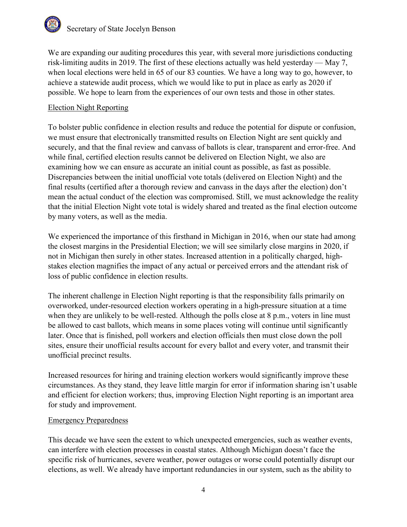# Secretary of State Jocelyn Benson

 We are expanding our auditing procedures this year, with several more jurisdictions conducting risk-limiting audits in 2019. The first of these elections actually was held yesterday — May 7, when local elections were held in 65 of our 83 counties. We have a long way to go, however, to achieve a statewide audit process, which we would like to put in place as early as 2020 if possible. We hope to learn from the experiences of our own tests and those in other states.

## Election Night Reporting

 To bolster public confidence in election results and reduce the potential for dispute or confusion, we must ensure that electronically transmitted results on Election Night are sent quickly and securely, and that the final review and canvass of ballots is clear, transparent and error-free. And while final, certified election results cannot be delivered on Election Night, we also are examining how we can ensure as accurate an initial count as possible, as fast as possible. Discrepancies between the initial unofficial vote totals (delivered on Election Night) and the final results (certified after a thorough review and canvass in the days after the election) don't mean the actual conduct of the election was compromised. Still, we must acknowledge the reality that the initial Election Night vote total is widely shared and treated as the final election outcome by many voters, as well as the media.

 We experienced the importance of this firsthand in Michigan in 2016, when our state had among the closest margins in the Presidential Election; we will see similarly close margins in 2020, if not in Michigan then surely in other states. Increased attention in a politically charged, high- stakes election magnifies the impact of any actual or perceived errors and the attendant risk of loss of public confidence in election results.

 The inherent challenge in Election Night reporting is that the responsibility falls primarily on overworked, under-resourced election workers operating in a high-pressure situation at a time when they are unlikely to be well-rested. Although the polls close at 8 p.m., voters in line must be allowed to cast ballots, which means in some places voting will continue until significantly later. Once that is finished, poll workers and election officials then must close down the poll sites, ensure their unofficial results account for every ballot and every voter, and transmit their unofficial precinct results.

 Increased resources for hiring and training election workers would significantly improve these circumstances. As they stand, they leave little margin for error if information sharing isn't usable and efficient for election workers; thus, improving Election Night reporting is an important area for study and improvement.

### Emergency Preparedness

 This decade we have seen the extent to which unexpected emergencies, such as weather events, can interfere with election processes in coastal states. Although Michigan doesn't face the specific risk of hurricanes, severe weather, power outages or worse could potentially disrupt our elections, as well. We already have important redundancies in our system, such as the ability to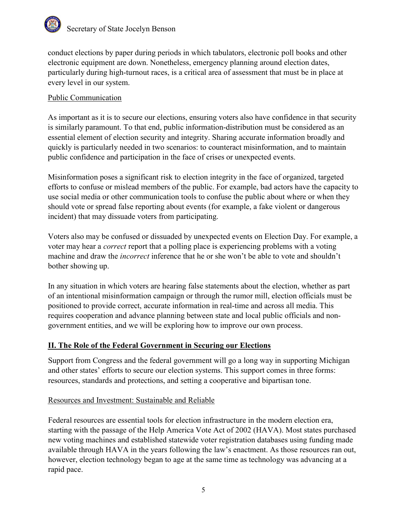

 conduct elections by paper during periods in which tabulators, electronic poll books and other electronic equipment are down. Nonetheless, emergency planning around election dates, particularly during high-turnout races, is a critical area of assessment that must be in place at every level in our system.

### Public Communication

 As important as it is to secure our elections, ensuring voters also have confidence in that security is similarly paramount. To that end, public information-distribution must be considered as an essential element of election security and integrity. Sharing accurate information broadly and quickly is particularly needed in two scenarios: to counteract misinformation, and to maintain public confidence and participation in the face of crises or unexpected events.

 Misinformation poses a significant risk to election integrity in the face of organized, targeted efforts to confuse or mislead members of the public. For example, bad actors have the capacity to use social media or other communication tools to confuse the public about where or when they should vote or spread false reporting about events (for example, a fake violent or dangerous incident) that may dissuade voters from participating.

 Voters also may be confused or dissuaded by unexpected events on Election Day. For example, a voter may hear a *correct* report that a polling place is experiencing problems with a voting machine and draw the *incorrect* inference that he or she won't be able to vote and shouldn't bother showing up.

 In any situation in which voters are hearing false statements about the election, whether as part of an intentional misinformation campaign or through the rumor mill, election officials must be positioned to provide correct, accurate information in real-time and across all media. This requires cooperation and advance planning between state and local public officials and non-government entities, and we will be exploring how to improve our own process.

### II. The Role of the Federal Government in Securing our Elections

 Support from Congress and the federal government will go a long way in supporting Michigan and other states' efforts to secure our election systems. This support comes in three forms: resources, standards and protections, and setting a cooperative and bipartisan tone.

#### Resources and Investment: Sustainable and Reliable

 Federal resources are essential tools for election infrastructure in the modern election era, starting with the passage of the Help America Vote Act of 2002 (HAVA). Most states purchased new voting machines and established statewide voter registration databases using funding made available through HAVA in the years following the law's enactment. As those resources ran out, however, election technology began to age at the same time as technology was advancing at a rapid pace.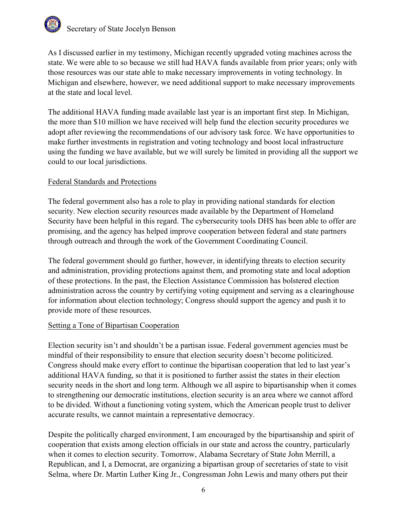

 As I discussed earlier in my testimony, Michigan recently upgraded voting machines across the state. We were able to so because we still had HAVA funds available from prior years; only with those resources was our state able to make necessary improvements in voting technology. In Michigan and elsewhere, however, we need additional support to make necessary improvements at the state and local level.

 The additional HAVA funding made available last year is an important first step. In Michigan, the more than \$10 million we have received will help fund the election security procedures we adopt after reviewing the recommendations of our advisory task force. We have opportunities to make further investments in registration and voting technology and boost local infrastructure using the funding we have available, but we will surely be limited in providing all the support we could to our local jurisdictions.

#### Federal Standards and Protections

 The federal government also has a role to play in providing national standards for election security. New election security resources made available by the Department of Homeland Security have been helpful in this regard. The cybersecurity tools DHS has been able to offer are promising, and the agency has helped improve cooperation between federal and state partners through outreach and through the work of the Government Coordinating Council.

 The federal government should go further, however, in identifying threats to election security and administration, providing protections against them, and promoting state and local adoption of these protections. In the past, the Election Assistance Commission has bolstered election administration across the country by certifying voting equipment and serving as a clearinghouse for information about election technology; Congress should support the agency and push it to provide more of these resources.

#### Setting a Tone of Bipartisan Cooperation

 Election security isn't and shouldn't be a partisan issue. Federal government agencies must be mindful of their responsibility to ensure that election security doesn't become politicized. Congress should make every effort to continue the bipartisan cooperation that led to last year's additional HAVA funding, so that it is positioned to further assist the states in their election security needs in the short and long term. Although we all aspire to bipartisanship when it comes to strengthening our democratic institutions, election security is an area where we cannot afford to be divided. Without a functioning voting system, which the American people trust to deliver accurate results, we cannot maintain a representative democracy.

 Despite the politically charged environment, I am encouraged by the bipartisanship and spirit of cooperation that exists among election officials in our state and across the country, particularly when it comes to election security. Tomorrow, Alabama Secretary of State John Merrill, a Republican, and I, a Democrat, are organizing a bipartisan group of secretaries of state to visit Selma, where Dr. Martin Luther King Jr., Congressman John Lewis and many others put their